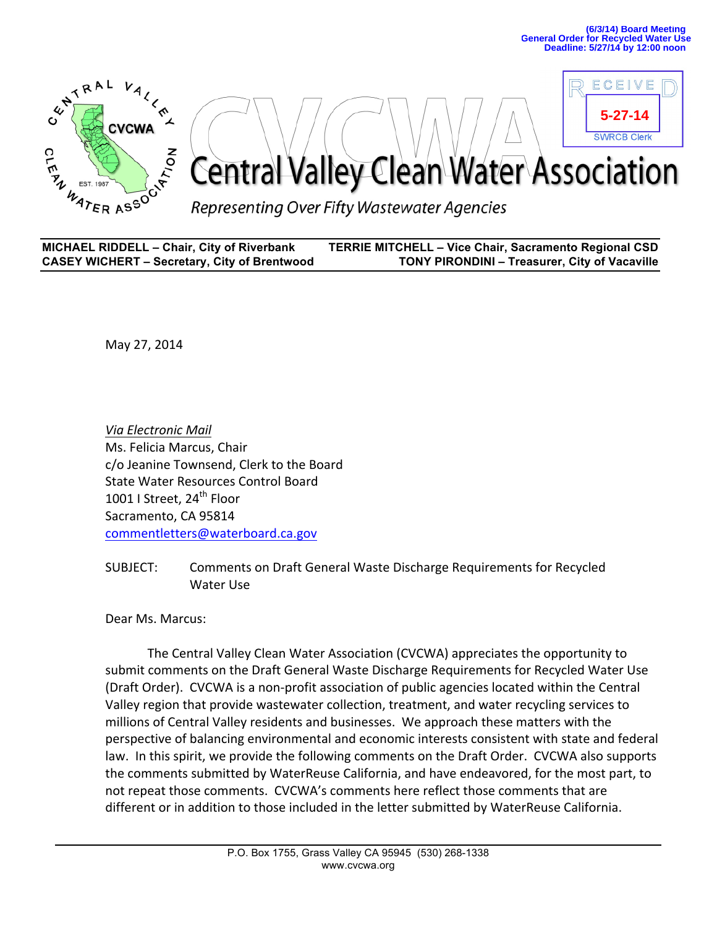

| <b>MICHAEL RIDDELL - Chair, City of Riverbank</b>   | <b>TERRIE MITCHELL - Vice Chair, Sacramento Regional CSD</b> |
|-----------------------------------------------------|--------------------------------------------------------------|
| <b>CASEY WICHERT - Secretary, City of Brentwood</b> | <b>TONY PIRONDINI - Treasurer, City of Vacaville</b>         |

May 27, 2014

*Via\$Electronic\$Mail* Ms. Felicia Marcus, Chair c/o Jeanine Townsend, Clerk to the Board State Water Resources Control Board 1001 | Street, 24<sup>th</sup> Floor Sacramento, CA 95814 commentletters@waterboard.ca.gov

SUBJECT: Comments on Draft General Waste Discharge Requirements for Recycled Water Use

Dear Ms. Marcus:

The Central Valley Clean Water Association (CVCWA) appreciates the opportunity to submit comments on the Draft General Waste Discharge Requirements for Recycled Water Use (Draft Order). CVCWA is a non-profit association of public agencies located within the Central Valley region that provide wastewater collection, treatment, and water recycling services to millions of Central Valley residents and businesses. We approach these matters with the perspective of balancing environmental and economic interests consistent with state and federal law. In this spirit, we provide the following comments on the Draft Order. CVCWA also supports the comments submitted by WaterReuse California, and have endeavored, for the most part, to not repeat those comments. CVCWA's comments here reflect those comments that are different or in addition to those included in the letter submitted by WaterReuse California.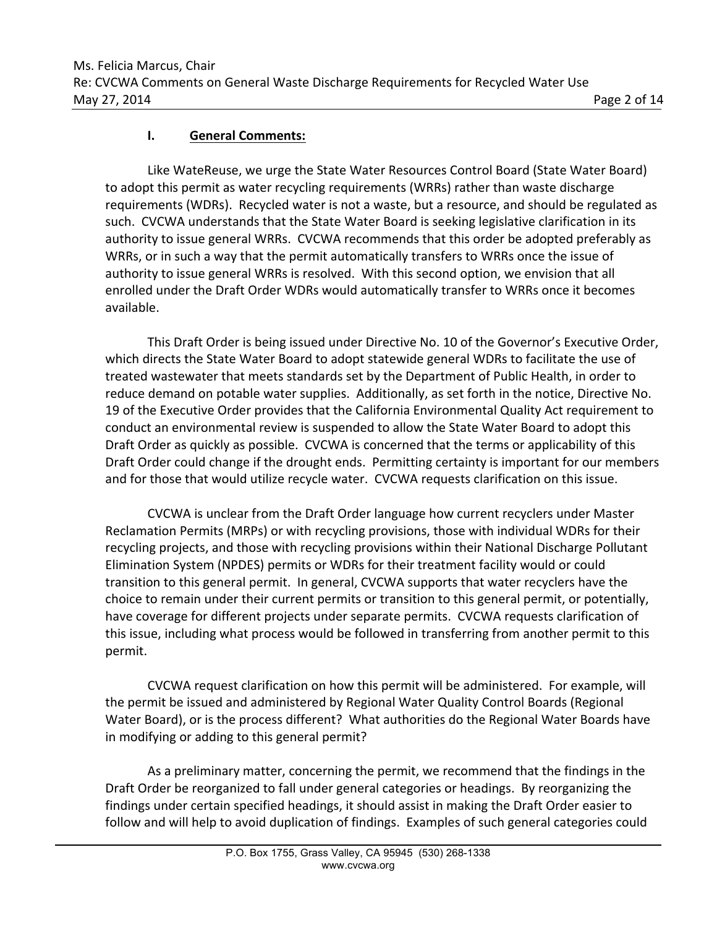## **I.** General Comments:

Like WateReuse, we urge the State Water Resources Control Board (State Water Board) to adopt this permit as water recycling requirements (WRRs) rather than waste discharge requirements (WDRs). Recycled water is not a waste, but a resource, and should be regulated as such. CVCWA understands that the State Water Board is seeking legislative clarification in its authority to issue general WRRs. CVCWA recommends that this order be adopted preferably as WRRs, or in such a way that the permit automatically transfers to WRRs once the issue of authority to issue general WRRs is resolved. With this second option, we envision that all enrolled under the Draft Order WDRs would automatically transfer to WRRs once it becomes available.

This Draft Order is being issued under Directive No. 10 of the Governor's Executive Order, which directs the State Water Board to adopt statewide general WDRs to facilitate the use of treated wastewater that meets standards set by the Department of Public Health, in order to reduce demand on potable water supplies. Additionally, as set forth in the notice, Directive No. 19 of the Executive Order provides that the California Environmental Quality Act requirement to conduct an environmental review is suspended to allow the State Water Board to adopt this Draft Order as quickly as possible. CVCWA is concerned that the terms or applicability of this Draft Order could change if the drought ends. Permitting certainty is important for our members and for those that would utilize recycle water. CVCWA requests clarification on this issue.

CVCWA is unclear from the Draft Order language how current recyclers under Master Reclamation Permits (MRPs) or with recycling provisions, those with individual WDRs for their recycling projects, and those with recycling provisions within their National Discharge Pollutant Elimination System (NPDES) permits or WDRs for their treatment facility would or could transition to this general permit. In general, CVCWA supports that water recyclers have the choice to remain under their current permits or transition to this general permit, or potentially, have coverage for different projects under separate permits. CVCWA requests clarification of this issue, including what process would be followed in transferring from another permit to this permit.

CVCWA request clarification on how this permit will be administered. For example, will the permit be issued and administered by Regional Water Quality Control Boards (Regional Water Board), or is the process different? What authorities do the Regional Water Boards have in modifying or adding to this general permit?

As a preliminary matter, concerning the permit, we recommend that the findings in the Draft Order be reorganized to fall under general categories or headings. By reorganizing the findings under certain specified headings, it should assist in making the Draft Order easier to follow and will help to avoid duplication of findings. Examples of such general categories could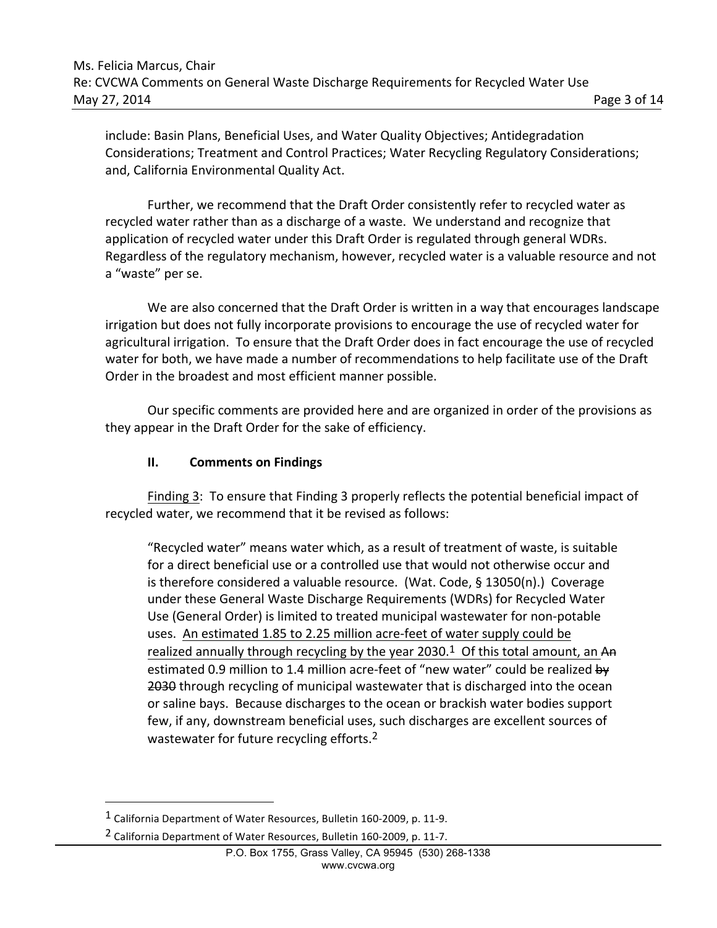include: Basin Plans, Beneficial Uses, and Water Quality Objectives; Antidegradation Considerations; Treatment and Control Practices; Water Recycling Regulatory Considerations; and, California Environmental Quality Act.

Further, we recommend that the Draft Order consistently refer to recycled water as recycled water rather than as a discharge of a waste. We understand and recognize that application of recycled water under this Draft Order is regulated through general WDRs. Regardless of the regulatory mechanism, however, recycled water is a valuable resource and not a "waste" per se.

We are also concerned that the Draft Order is written in a way that encourages landscape irrigation but does not fully incorporate provisions to encourage the use of recycled water for agricultural irrigation. To ensure that the Draft Order does in fact encourage the use of recycled water for both, we have made a number of recommendations to help facilitate use of the Draft Order in the broadest and most efficient manner possible.

Our specific comments are provided here and are organized in order of the provisions as they appear in the Draft Order for the sake of efficiency.

## **II.** Comments on Findings

Finding 3: To ensure that Finding 3 properly reflects the potential beneficial impact of recycled water, we recommend that it be revised as follows:

"Recycled water" means water which, as a result of treatment of waste, is suitable for a direct beneficial use or a controlled use that would not otherwise occur and is therefore considered a valuable resource. (Wat. Code, § 13050(n).) Coverage under these General Waste Discharge Requirements (WDRs) for Recycled Water Use (General Order) is limited to treated municipal wastewater for non-potable uses. An estimated 1.85 to 2.25 million acre-feet of water supply could be realized annually through recycling by the year 2030.<sup>1</sup> Of this total amount, an An estimated 0.9 million to 1.4 million acre-feet of "new water" could be realized by 2030 through recycling of municipal wastewater that is discharged into the ocean or saline bays. Because discharges to the ocean or brackish water bodies support few, if any, downstream beneficial uses, such discharges are excellent sources of wastewater for future recycling efforts.<sup>2</sup>

<sup>&</sup>lt;sup>1</sup> California Department of Water Resources, Bulletin 160-2009, p. 11-9.

<sup>&</sup>lt;sup>2</sup> California Department of Water Resources, Bulletin 160-2009, p. 11-7.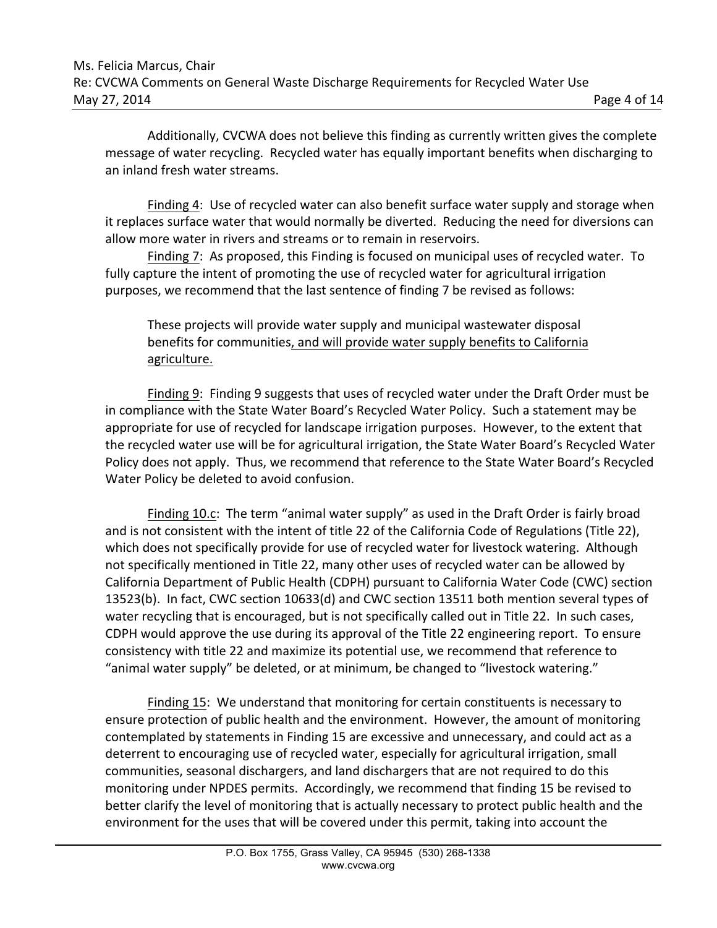Additionally, CVCWA does not believe this finding as currently written gives the complete message of water recycling. Recycled water has equally important benefits when discharging to an inland fresh water streams.

Finding 4: Use of recycled water can also benefit surface water supply and storage when it replaces surface water that would normally be diverted. Reducing the need for diversions can allow more water in rivers and streams or to remain in reservoirs.

Finding 7: As proposed, this Finding is focused on municipal uses of recycled water. To fully capture the intent of promoting the use of recycled water for agricultural irrigation purposes, we recommend that the last sentence of finding 7 be revised as follows:

These projects will provide water supply and municipal wastewater disposal benefits for communities, and will provide water supply benefits to California agriculture.

Finding 9: Finding 9 suggests that uses of recycled water under the Draft Order must be in compliance with the State Water Board's Recycled Water Policy. Such a statement may be appropriate for use of recycled for landscape irrigation purposes. However, to the extent that the recycled water use will be for agricultural irrigation, the State Water Board's Recycled Water Policy does not apply. Thus, we recommend that reference to the State Water Board's Recycled Water Policy be deleted to avoid confusion.

Finding 10.c: The term "animal water supply" as used in the Draft Order is fairly broad and is not consistent with the intent of title 22 of the California Code of Regulations (Title 22), which does not specifically provide for use of recycled water for livestock watering. Although not specifically mentioned in Title 22, many other uses of recycled water can be allowed by California Department of Public Health (CDPH) pursuant to California Water Code (CWC) section 13523(b). In fact, CWC section 10633(d) and CWC section 13511 both mention several types of water recycling that is encouraged, but is not specifically called out in Title 22. In such cases, CDPH would approve the use during its approval of the Title 22 engineering report. To ensure consistency with title 22 and maximize its potential use, we recommend that reference to "animal water supply" be deleted, or at minimum, be changed to "livestock watering."

Finding 15: We understand that monitoring for certain constituents is necessary to ensure protection of public health and the environment. However, the amount of monitoring contemplated by statements in Finding 15 are excessive and unnecessary, and could act as a deterrent to encouraging use of recycled water, especially for agricultural irrigation, small communities, seasonal dischargers, and land dischargers that are not required to do this monitoring under NPDES permits. Accordingly, we recommend that finding 15 be revised to better clarify the level of monitoring that is actually necessary to protect public health and the environment for the uses that will be covered under this permit, taking into account the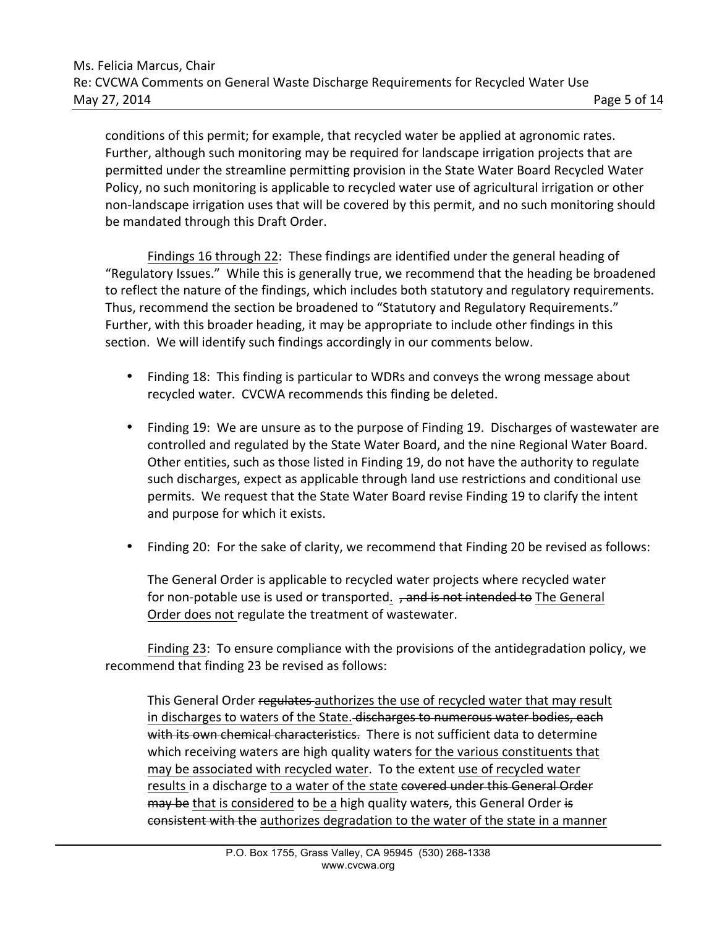conditions of this permit; for example, that recycled water be applied at agronomic rates. Further, although such monitoring may be required for landscape irrigation projects that are permitted under the streamline permitting provision in the State Water Board Recycled Water Policy, no such monitoring is applicable to recycled water use of agricultural irrigation or other non-landscape irrigation uses that will be covered by this permit, and no such monitoring should be mandated through this Draft Order.

Findings 16 through 22: These findings are identified under the general heading of "Regulatory Issues." While this is generally true, we recommend that the heading be broadened to reflect the nature of the findings, which includes both statutory and regulatory requirements. Thus, recommend the section be broadened to "Statutory and Regulatory Requirements." Further, with this broader heading, it may be appropriate to include other findings in this section. We will identify such findings accordingly in our comments below.

- Finding 18: This finding is particular to WDRs and conveys the wrong message about recycled water. CVCWA recommends this finding be deleted.
- Finding 19: We are unsure as to the purpose of Finding 19. Discharges of wastewater are controlled and regulated by the State Water Board, and the nine Regional Water Board. Other entities, such as those listed in Finding 19, do not have the authority to regulate such discharges, expect as applicable through land use restrictions and conditional use permits. We request that the State Water Board revise Finding 19 to clarify the intent and purpose for which it exists.
- Finding 20: For the sake of clarity, we recommend that Finding 20 be revised as follows:

The General Order is applicable to recycled water projects where recycled water for non-potable use is used or transported. , and is not intended to The General Order does not regulate the treatment of wastewater.

Finding 23: To ensure compliance with the provisions of the antidegradation policy, we recommend that finding 23 be revised as follows:

This General Order regulates authorizes the use of recycled water that may result in discharges to waters of the State. discharges to numerous water bodies, each with its own chemical characteristics. There is not sufficient data to determine which receiving waters are high quality waters for the various constituents that may be associated with recycled water. To the extent use of recycled water results in a discharge to a water of the state covered under this General Order may be that is considered to be a high quality waters, this General Order is consistent with the authorizes degradation to the water of the state in a manner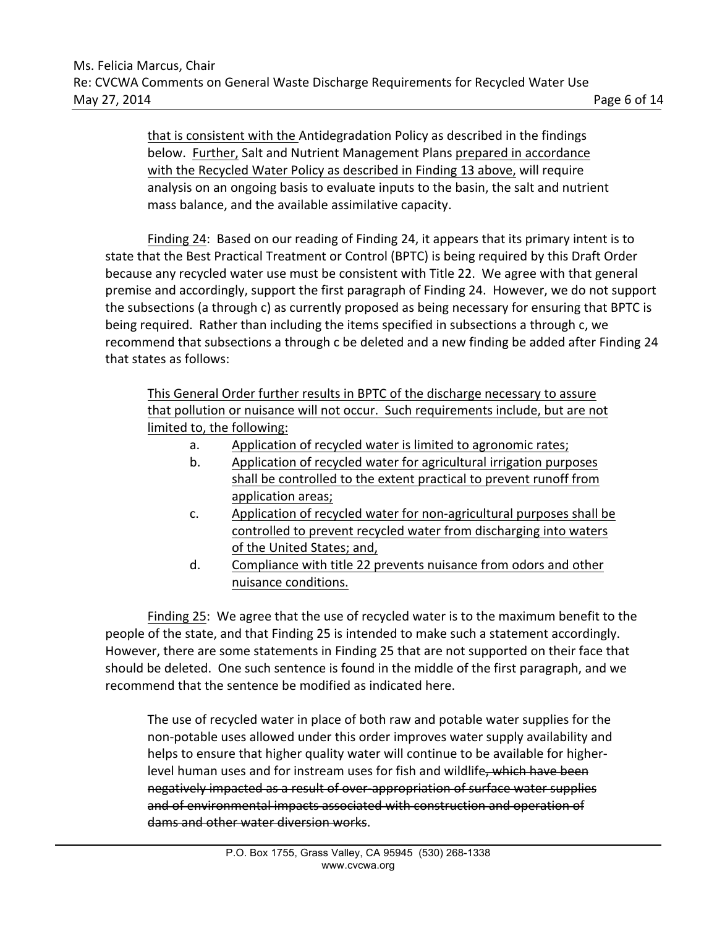that is consistent with the Antidegradation Policy as described in the findings below. Further, Salt and Nutrient Management Plans prepared in accordance with the Recycled Water Policy as described in Finding 13 above, will require analysis on an ongoing basis to evaluate inputs to the basin, the salt and nutrient mass balance, and the available assimilative capacity.

Finding 24: Based on our reading of Finding 24, it appears that its primary intent is to state that the Best Practical Treatment or Control (BPTC) is being required by this Draft Order because any recycled water use must be consistent with Title 22. We agree with that general premise and accordingly, support the first paragraph of Finding 24. However, we do not support the subsections (a through c) as currently proposed as being necessary for ensuring that BPTC is being required. Rather than including the items specified in subsections a through c, we recommend that subsections a through c be deleted and a new finding be added after Finding 24 that states as follows:

This General Order further results in BPTC of the discharge necessary to assure that pollution or nuisance will not occur. Such requirements include, but are not limited to, the following:

- a. Application of recycled water is limited to agronomic rates;
- b. Application of recycled water for agricultural irrigation purposes shall be controlled to the extent practical to prevent runoff from application areas;
- c. Application of recycled water for non-agricultural purposes shall be controlled to prevent recycled water from discharging into waters of the United States; and,
- d. Compliance with title 22 prevents nuisance from odors and other nuisance conditions.

Finding 25: We agree that the use of recycled water is to the maximum benefit to the people of the state, and that Finding 25 is intended to make such a statement accordingly. However, there are some statements in Finding 25 that are not supported on their face that should be deleted. One such sentence is found in the middle of the first paragraph, and we recommend that the sentence be modified as indicated here.

The use of recycled water in place of both raw and potable water supplies for the non-potable uses allowed under this order improves water supply availability and helps to ensure that higher quality water will continue to be available for higherlevel human uses and for instream uses for fish and wildlife, which have been negatively impacted as a result of over-appropriation of surface water supplies and of environmental impacts associated with construction and operation of dams and other water diversion works.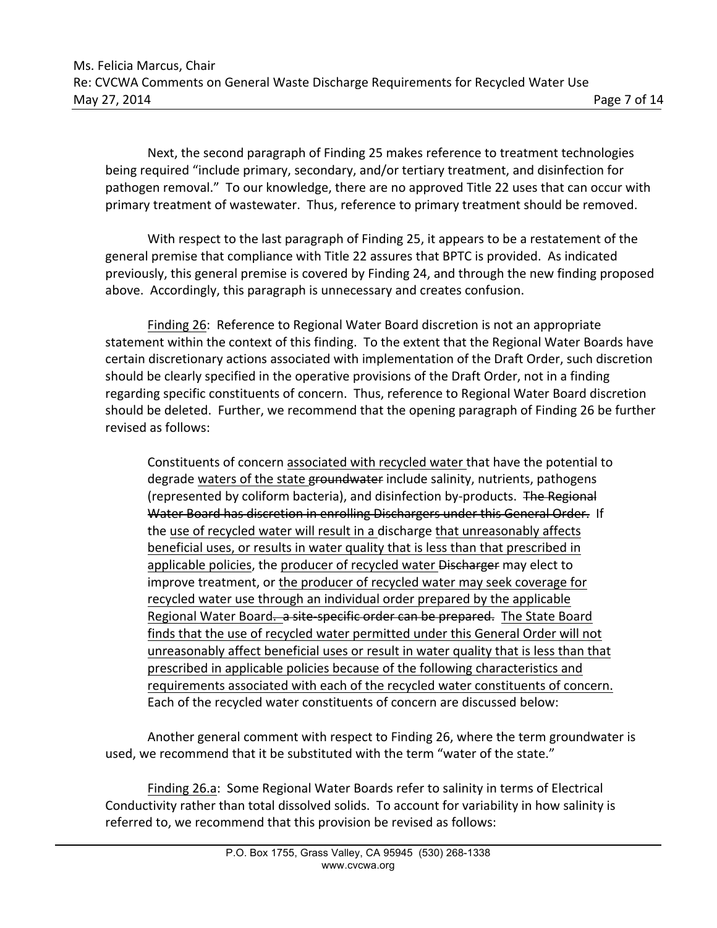Next, the second paragraph of Finding 25 makes reference to treatment technologies being required "include primary, secondary, and/or tertiary treatment, and disinfection for pathogen removal." To our knowledge, there are no approved Title 22 uses that can occur with primary treatment of wastewater. Thus, reference to primary treatment should be removed.

With respect to the last paragraph of Finding 25, it appears to be a restatement of the general premise that compliance with Title 22 assures that BPTC is provided. As indicated previously, this general premise is covered by Finding 24, and through the new finding proposed above. Accordingly, this paragraph is unnecessary and creates confusion.

Finding 26: Reference to Regional Water Board discretion is not an appropriate statement within the context of this finding. To the extent that the Regional Water Boards have certain discretionary actions associated with implementation of the Draft Order, such discretion should be clearly specified in the operative provisions of the Draft Order, not in a finding regarding specific constituents of concern. Thus, reference to Regional Water Board discretion should be deleted. Further, we recommend that the opening paragraph of Finding 26 be further revised as follows:

Constituents of concern associated with recycled water that have the potential to degrade waters of the state groundwater include salinity, nutrients, pathogens (represented by coliform bacteria), and disinfection by-products. The Regional Water Board has discretion in enrolling Dischargers under this General Order. If the use of recycled water will result in a discharge that unreasonably affects beneficial uses, or results in water quality that is less than that prescribed in applicable policies, the producer of recycled water Discharger may elect to improve treatment, or the producer of recycled water may seek coverage for recycled water use through an individual order prepared by the applicable Regional Water Board. a site-specific order can be prepared. The State Board finds that the use of recycled water permitted under this General Order will not unreasonably affect beneficial uses or result in water quality that is less than that prescribed in applicable policies because of the following characteristics and requirements associated with each of the recycled water constituents of concern. Each of the recycled water constituents of concern are discussed below:

Another general comment with respect to Finding 26, where the term groundwater is used, we recommend that it be substituted with the term "water of the state."

Finding 26.a: Some Regional Water Boards refer to salinity in terms of Electrical Conductivity rather than total dissolved solids. To account for variability in how salinity is referred to, we recommend that this provision be revised as follows: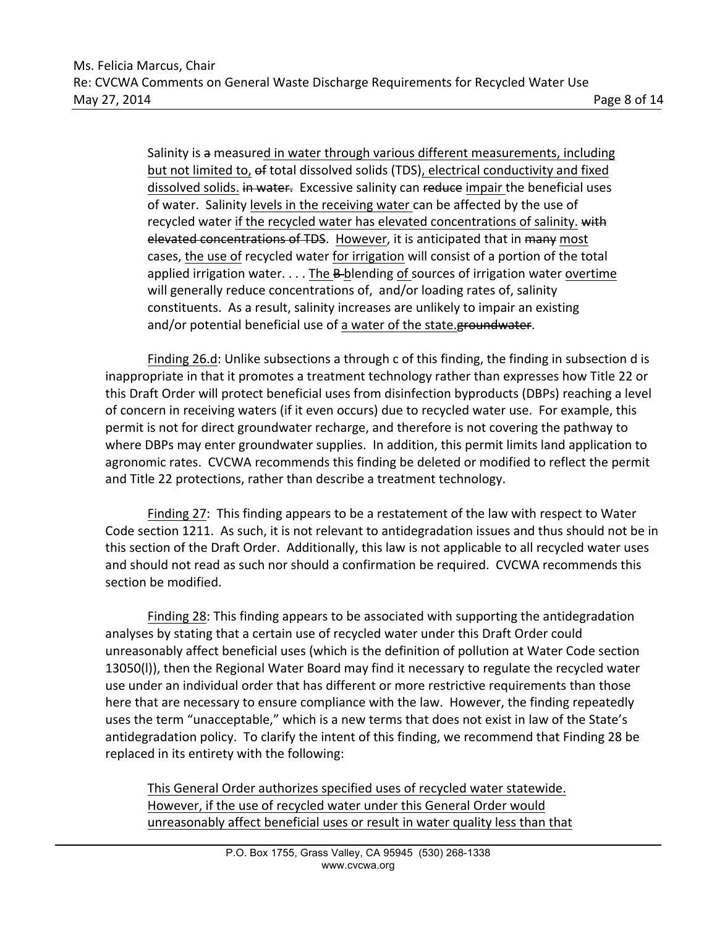Salinity is a measured in water through various different measurements, including but not limited to, of total dissolved solids (TDS), electrical conductivity and fixed dissolved solids. in water. Excessive salinity can reduce impair the beneficial uses of water. Salinity levels in the receiving water can be affected by the use of recycled water if the recycled water has elevated concentrations of salinity. with elevated concentrations of TDS. However, it is anticipated that in many most cases, the use of recycled water for irrigation will consist of a portion of the total applied irrigation water. . . . The B-blending of sources of irrigation water overtime will generally reduce concentrations of, and/or loading rates of, salinity constituents. As a result, salinity increases are unlikely to impair an existing and/or potential beneficial use of a water of the state.groundwater.

Finding 26.d: Unlike subsections a through c of this finding, the finding in subsection d is inappropriate in that it promotes a treatment technology rather than expresses how Title 22 or this Draft Order will protect beneficial uses from disinfection byproducts (DBPs) reaching a level of concern in receiving waters (if it even occurs) due to recycled water use. For example, this permit is not for direct groundwater recharge, and therefore is not covering the pathway to where DBPs may enter groundwater supplies. In addition, this permit limits land application to agronomic rates. CVCWA recommends this finding be deleted or modified to reflect the permit and Title 22 protections, rather than describe a treatment technology.

Finding 27: This finding appears to be a restatement of the law with respect to Water Code section 1211. As such, it is not relevant to antidegradation issues and thus should not be in this section of the Draft Order. Additionally, this law is not applicable to all recycled water uses and should not read as such nor should a confirmation be required. CVCWA recommends this section be modified.

Finding 28: This finding appears to be associated with supporting the antidegradation analyses by stating that a certain use of recycled water under this Draft Order could unreasonably affect beneficial uses (which is the definition of pollution at Water Code section 13050(I)), then the Regional Water Board may find it necessary to regulate the recycled water use under an individual order that has different or more restrictive requirements than those here that are necessary to ensure compliance with the law. However, the finding repeatedly uses the term "unacceptable," which is a new terms that does not exist in law of the State's antidegradation policy. To clarify the intent of this finding, we recommend that Finding 28 be replaced in its entirety with the following:

This General Order authorizes specified uses of recycled water statewide. However, if the use of recycled water under this General Order would unreasonably affect beneficial uses or result in water quality less than that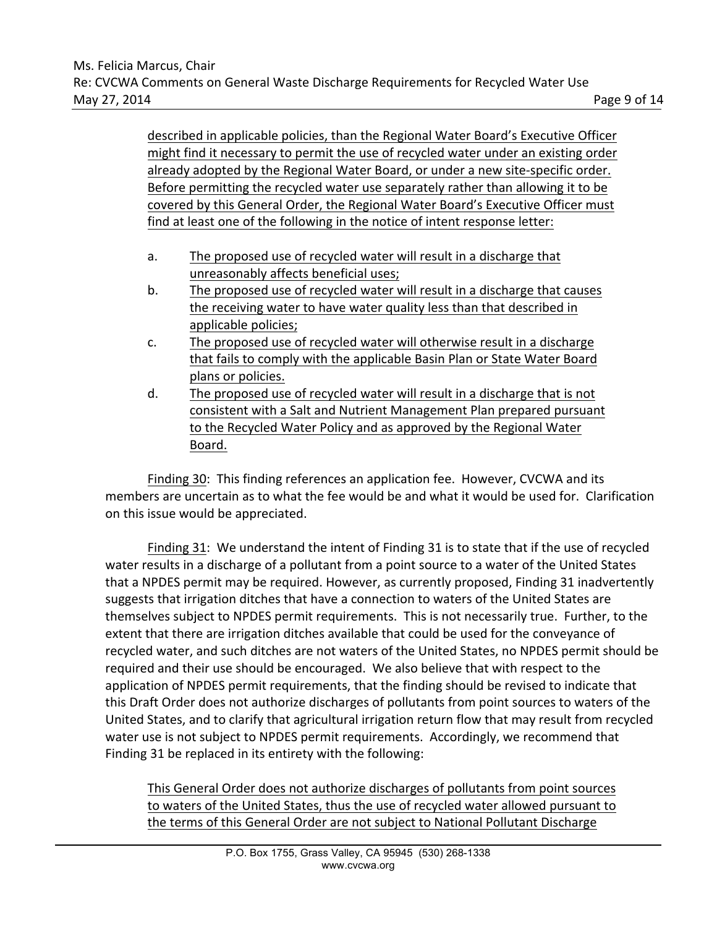described in applicable policies, than the Regional Water Board's Executive Officer might find it necessary to permit the use of recycled water under an existing order already adopted by the Regional Water Board, or under a new site-specific order. Before permitting the recycled water use separately rather than allowing it to be covered by this General Order, the Regional Water Board's Executive Officer must find at least one of the following in the notice of intent response letter:

- a. The proposed use of recycled water will result in a discharge that unreasonably affects beneficial uses;
- b. The proposed use of recycled water will result in a discharge that causes the receiving water to have water quality less than that described in applicable policies;
- c. The proposed use of recycled water will otherwise result in a discharge that fails to comply with the applicable Basin Plan or State Water Board plans or policies.
- d. The proposed use of recycled water will result in a discharge that is not consistent with a Salt and Nutrient Management Plan prepared pursuant to the Recycled Water Policy and as approved by the Regional Water Board.

Finding 30: This finding references an application fee. However, CVCWA and its members are uncertain as to what the fee would be and what it would be used for. Clarification on this issue would be appreciated.

Finding 31: We understand the intent of Finding 31 is to state that if the use of recycled water results in a discharge of a pollutant from a point source to a water of the United States that a NPDES permit may be required. However, as currently proposed, Finding 31 inadvertently suggests that irrigation ditches that have a connection to waters of the United States are themselves subject to NPDES permit requirements. This is not necessarily true. Further, to the extent that there are irrigation ditches available that could be used for the conveyance of recycled water, and such ditches are not waters of the United States, no NPDES permit should be required and their use should be encouraged. We also believe that with respect to the application of NPDES permit requirements, that the finding should be revised to indicate that this Draft Order does not authorize discharges of pollutants from point sources to waters of the United States, and to clarify that agricultural irrigation return flow that may result from recycled water use is not subject to NPDES permit requirements. Accordingly, we recommend that Finding 31 be replaced in its entirety with the following:

This General Order does not authorize discharges of pollutants from point sources to waters of the United States, thus the use of recycled water allowed pursuant to the terms of this General Order are not subject to National Pollutant Discharge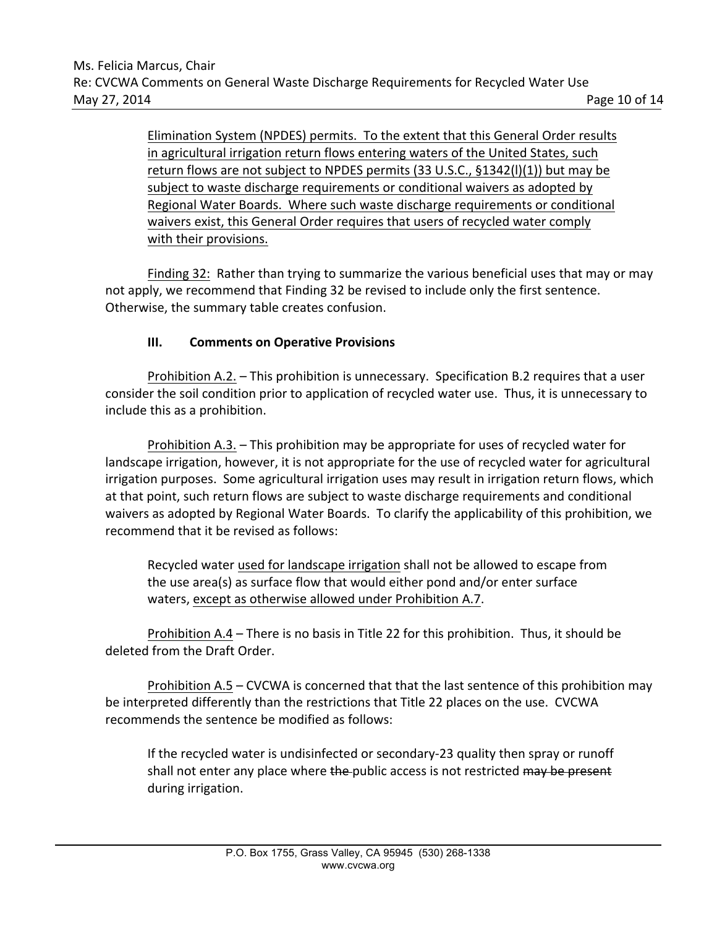Elimination System (NPDES) permits. To the extent that this General Order results in agricultural irrigation return flows entering waters of the United States, such return flows are not subject to NPDES permits (33 U.S.C., §1342(l)(1)) but may be subject to waste discharge requirements or conditional waivers as adopted by Regional Water Boards. Where such waste discharge requirements or conditional waivers exist, this General Order requires that users of recycled water comply with their provisions.

Finding 32: Rather than trying to summarize the various beneficial uses that may or may not apply, we recommend that Finding 32 be revised to include only the first sentence. Otherwise, the summary table creates confusion.

## **III.** Comments on Operative Provisions

Prohibition A.2. – This prohibition is unnecessary. Specification B.2 requires that a user consider the soil condition prior to application of recycled water use. Thus, it is unnecessary to include this as a prohibition.

Prohibition A.3. – This prohibition may be appropriate for uses of recycled water for landscape irrigation, however, it is not appropriate for the use of recycled water for agricultural irrigation purposes. Some agricultural irrigation uses may result in irrigation return flows, which at that point, such return flows are subject to waste discharge requirements and conditional waivers as adopted by Regional Water Boards. To clarify the applicability of this prohibition, we recommend that it be revised as follows:

Recycled water used for landscape irrigation shall not be allowed to escape from the use area(s) as surface flow that would either pond and/or enter surface waters, except as otherwise allowed under Prohibition A.7.

Prohibition A.4 – There is no basis in Title 22 for this prohibition. Thus, it should be deleted from the Draft Order.

Prohibition  $A.5 - CVCWA$  is concerned that that the last sentence of this prohibition may be interpreted differently than the restrictions that Title 22 places on the use. CVCWA recommends the sentence be modified as follows:

If the recycled water is undisinfected or secondary-23 quality then spray or runoff shall not enter any place where the public access is not restricted may be present during irrigation.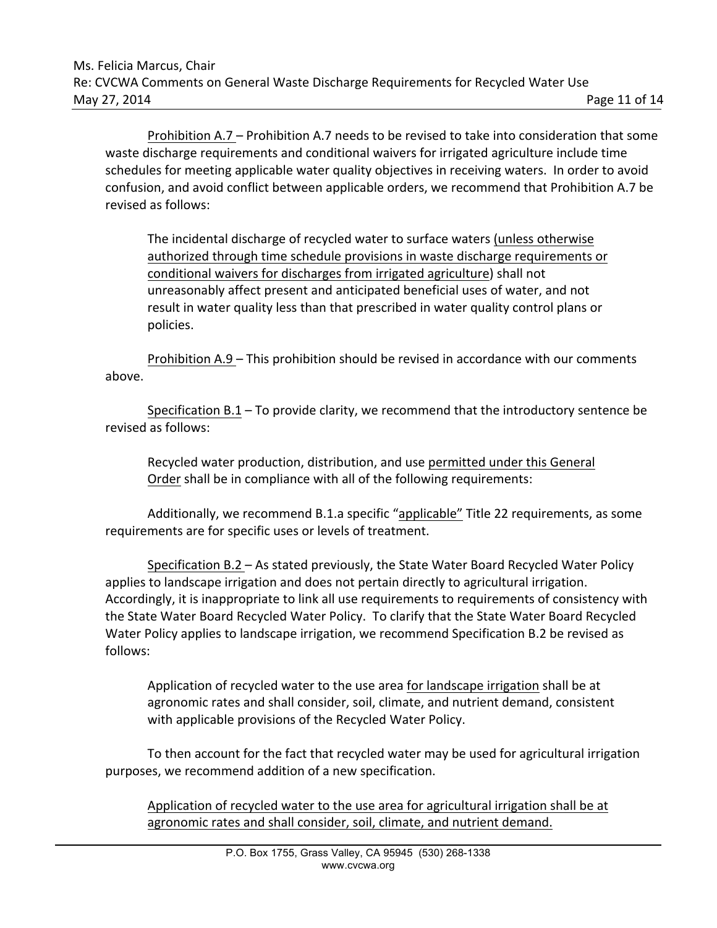Prohibition A.7 – Prohibition A.7 needs to be revised to take into consideration that some waste discharge requirements and conditional waivers for irrigated agriculture include time schedules for meeting applicable water quality objectives in receiving waters. In order to avoid confusion, and avoid conflict between applicable orders, we recommend that Prohibition A.7 be revised as follows:

The incidental discharge of recycled water to surface waters (unless otherwise authorized through time schedule provisions in waste discharge requirements or conditional waivers for discharges from irrigated agriculture) shall not unreasonably affect present and anticipated beneficial uses of water, and not result in water quality less than that prescribed in water quality control plans or policies.

Prohibition A.9 – This prohibition should be revised in accordance with our comments above.

Specification  $B.1 - To$  provide clarity, we recommend that the introductory sentence be revised as follows:

Recycled water production, distribution, and use permitted under this General Order shall be in compliance with all of the following requirements:

Additionally, we recommend B.1.a specific "applicable" Title 22 requirements, as some requirements are for specific uses or levels of treatment.

Specification  $B.2 - As$  stated previously, the State Water Board Recycled Water Policy applies to landscape irrigation and does not pertain directly to agricultural irrigation. Accordingly, it is inappropriate to link all use requirements to requirements of consistency with the State Water Board Recycled Water Policy. To clarify that the State Water Board Recycled Water Policy applies to landscape irrigation, we recommend Specification B.2 be revised as follows:

Application of recycled water to the use area for landscape irrigation shall be at agronomic rates and shall consider, soil, climate, and nutrient demand, consistent with applicable provisions of the Recycled Water Policy.

To then account for the fact that recycled water may be used for agricultural irrigation purposes, we recommend addition of a new specification.

Application of recycled water to the use area for agricultural irrigation shall be at agronomic rates and shall consider, soil, climate, and nutrient demand.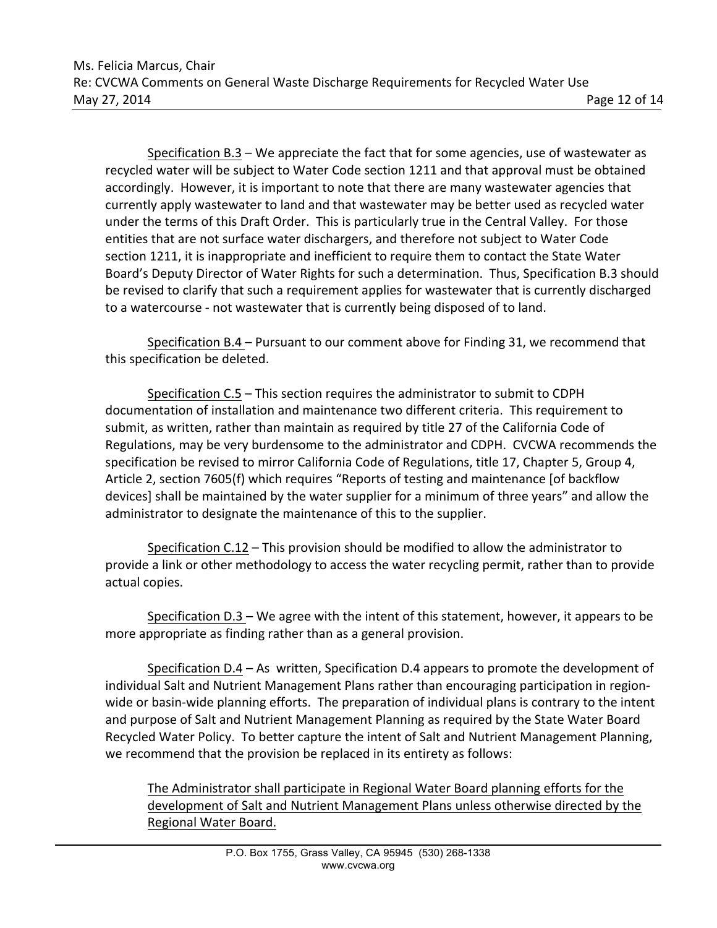Specification  $B.3 - We$  appreciate the fact that for some agencies, use of wastewater as recycled water will be subject to Water Code section 1211 and that approval must be obtained accordingly. However, it is important to note that there are many wastewater agencies that currently apply wastewater to land and that wastewater may be better used as recycled water under the terms of this Draft Order. This is particularly true in the Central Valley. For those entities that are not surface water dischargers, and therefore not subject to Water Code section 1211, it is inappropriate and inefficient to require them to contact the State Water Board's Deputy Director of Water Rights for such a determination. Thus, Specification B.3 should be revised to clarify that such a requirement applies for wastewater that is currently discharged to a watercourse - not wastewater that is currently being disposed of to land.

Specification B.4 – Pursuant to our comment above for Finding 31, we recommend that this specification be deleted.

Specification C.5 – This section requires the administrator to submit to CDPH documentation of installation and maintenance two different criteria. This requirement to submit, as written, rather than maintain as required by title 27 of the California Code of Regulations, may be very burdensome to the administrator and CDPH. CVCWA recommends the specification be revised to mirror California Code of Regulations, title 17, Chapter 5, Group 4, Article 2, section 7605(f) which requires "Reports of testing and maintenance [of backflow devices] shall be maintained by the water supplier for a minimum of three years" and allow the administrator to designate the maintenance of this to the supplier.

Specification  $C.12$  – This provision should be modified to allow the administrator to provide a link or other methodology to access the water recycling permit, rather than to provide actual copies.

Specification  $D.3$  – We agree with the intent of this statement, however, it appears to be more appropriate as finding rather than as a general provision.

Specification  $D.4 - As$  written, Specification D.4 appears to promote the development of individual Salt and Nutrient Management Plans rather than encouraging participation in regionwide or basin-wide planning efforts. The preparation of individual plans is contrary to the intent and purpose of Salt and Nutrient Management Planning as required by the State Water Board Recycled Water Policy. To better capture the intent of Salt and Nutrient Management Planning, we recommend that the provision be replaced in its entirety as follows:

The Administrator shall participate in Regional Water Board planning efforts for the development of Salt and Nutrient Management Plans unless otherwise directed by the Regional Water Board.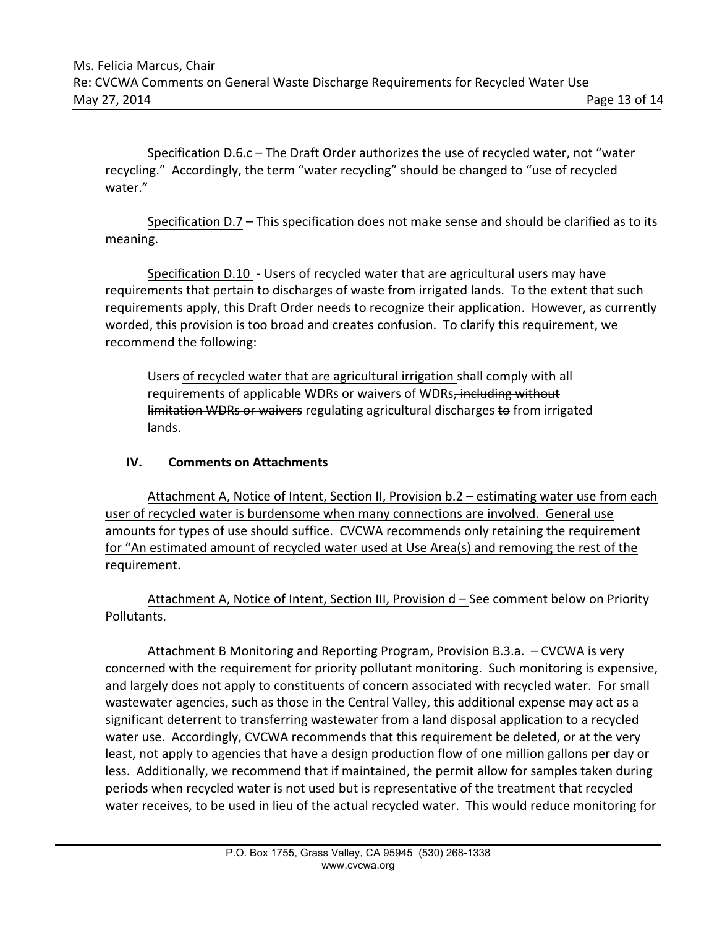Specification D.6.c – The Draft Order authorizes the use of recycled water, not "water recycling." Accordingly, the term "water recycling" should be changed to "use of recycled water."

Specification D.7 – This specification does not make sense and should be clarified as to its meaning.

Specification D.10 - Users of recycled water that are agricultural users may have requirements that pertain to discharges of waste from irrigated lands. To the extent that such requirements apply, this Draft Order needs to recognize their application. However, as currently worded, this provision is too broad and creates confusion. To clarify this requirement, we recommend the following:

Users of recycled water that are agricultural irrigation shall comply with all requirements of applicable WDRs or waivers of WDRs, including without limitation WDRs or waivers regulating agricultural discharges to from irrigated lands.

## **IV. Comments on Attachments**

Attachment A, Notice of Intent, Section II, Provision b.2 – estimating water use from each user of recycled water is burdensome when many connections are involved. General use amounts for types of use should suffice. CVCWA recommends only retaining the requirement for "An estimated amount of recycled water used at Use Area(s) and removing the rest of the requirement.

Attachment A, Notice of Intent, Section III, Provision d – See comment below on Priority Pollutants.

Attachment B Monitoring and Reporting Program, Provision B.3.a. – CVCWA is very concerned with the requirement for priority pollutant monitoring. Such monitoring is expensive, and largely does not apply to constituents of concern associated with recycled water. For small wastewater agencies, such as those in the Central Valley, this additional expense may act as a significant deterrent to transferring wastewater from a land disposal application to a recycled water use. Accordingly, CVCWA recommends that this requirement be deleted, or at the very least, not apply to agencies that have a design production flow of one million gallons per day or less. Additionally, we recommend that if maintained, the permit allow for samples taken during periods when recycled water is not used but is representative of the treatment that recycled water receives, to be used in lieu of the actual recycled water. This would reduce monitoring for